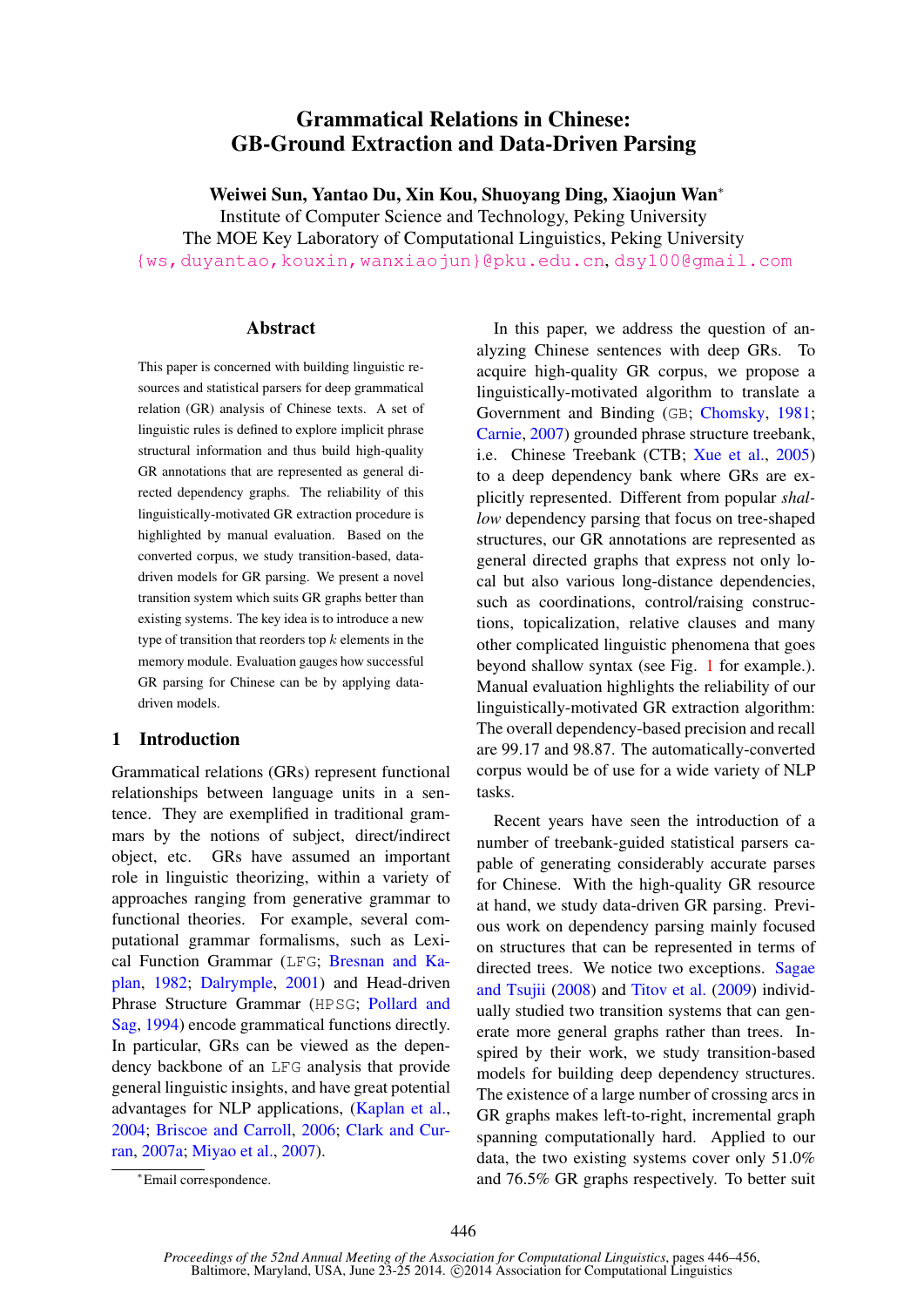# Grammatical Relations in Chinese: GB-Ground Extraction and Data-Driven Parsing

Weiwei Sun, Yantao Du, Xin Kou, Shuoyang Ding, Xiaojun Wan<sup>∗</sup>

Institute of Computer Science and Technology, Peking University The MOE Key Laboratory of Computational Linguistics, Peking University {ws,duyantao,kouxin,wanxiaojun}@pku.edu.cn, dsy100@gmail.com

### Abstract

This paper is concerned with building linguistic resources and statistical parsers for deep grammatical relation (GR) analysis of Chinese texts. A set of linguistic rules is defined to explore implicit phrase structural information and thus build high-quality GR annotations that are represented as general directed dependency graphs. The reliability of this linguistically-motivated GR extraction procedure is highlighted by manual evaluation. Based on the converted corpus, we study transition-based, datadriven models for GR parsing. We present a novel transition system which suits GR graphs better than existing systems. The key idea is to introduce a new type of transition that reorders top  $k$  elements in the memory module. Evaluation gauges how successful GR parsing for Chinese can be by applying datadriven models.

## 1 Introduction

Grammatical relations (GRs) represent functional relationships between language units in a sentence. They are exemplified in traditional grammars by the notions of subject, direct/indirect object, etc. GRs have assumed an important role in linguistic theorizing, within a variety of approaches ranging from generative grammar to functional theories. For example, several computational grammar formalisms, such as Lexical Function Grammar (LFG; Bresnan and Kaplan, 1982; Dalrymple, 2001) and Head-driven Phrase Structure Grammar (HPSG; Pollard and Sag, 1994) encode grammatical functions directly. In particular, GRs can be viewed as the dependency backbone of an LFG analysis that provide general linguistic insights, and have great potential advantages for NLP applications, (Kaplan et al., 2004; Briscoe and Carroll, 2006; Clark and Curran, 2007a; Miyao et al., 2007).

In this paper, we address the question of analyzing Chinese sentences with deep GRs. To acquire high-quality GR corpus, we propose a linguistically-motivated algorithm to translate a Government and Binding (GB; Chomsky, 1981; Carnie, 2007) grounded phrase structure treebank, i.e. Chinese Treebank (CTB; Xue et al., 2005) to a deep dependency bank where GRs are explicitly represented. Different from popular *shallow* dependency parsing that focus on tree-shaped structures, our GR annotations are represented as general directed graphs that express not only local but also various long-distance dependencies, such as coordinations, control/raising constructions, topicalization, relative clauses and many other complicated linguistic phenomena that goes beyond shallow syntax (see Fig. 1 for example.). Manual evaluation highlights the reliability of our linguistically-motivated GR extraction algorithm: The overall dependency-based precision and recall are 99.17 and 98.87. The automatically-converted corpus would be of use for a wide variety of NLP tasks.

Recent years have seen the introduction of a number of treebank-guided statistical parsers capable of generating considerably accurate parses for Chinese. With the high-quality GR resource at hand, we study data-driven GR parsing. Previous work on dependency parsing mainly focused on structures that can be represented in terms of directed trees. We notice two exceptions. Sagae and Tsujii (2008) and Titov et al. (2009) individually studied two transition systems that can generate more general graphs rather than trees. Inspired by their work, we study transition-based models for building deep dependency structures. The existence of a large number of crossing arcs in GR graphs makes left-to-right, incremental graph spanning computationally hard. Applied to our data, the two existing systems cover only 51.0% and 76.5% GR graphs respectively. To better suit

<sup>∗</sup>Email correspondence.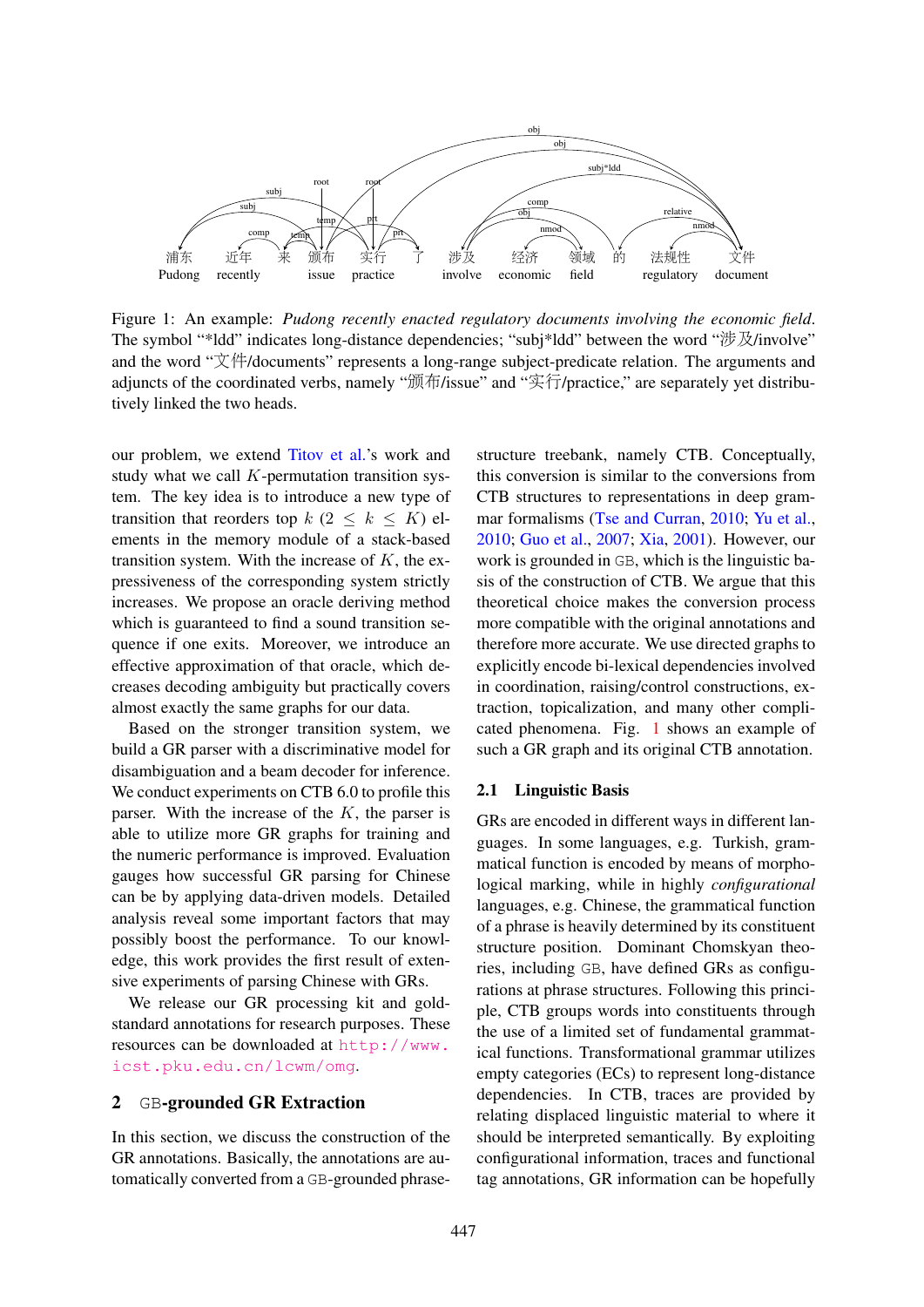

Figure 1: An example: *Pudong recently enacted regulatory documents involving the economic field*. The symbol "\*ldd" indicates long-distance dependencies; "subj\*ldd" between the word "涉及/involve" and the word "文件/documents" represents a long-range subject-predicate relation. The arguments and adjuncts of the coordinated verbs, namely "颁布/issue" and "实行/practice," are separately yet distributively linked the two heads.

our problem, we extend Titov et al.'s work and study what we call  $K$ -permutation transition system. The key idea is to introduce a new type of transition that reorders top  $k$  ( $2 \leq k \leq K$ ) elements in the memory module of a stack-based transition system. With the increase of  $K$ , the expressiveness of the corresponding system strictly increases. We propose an oracle deriving method which is guaranteed to find a sound transition sequence if one exits. Moreover, we introduce an effective approximation of that oracle, which decreases decoding ambiguity but practically covers almost exactly the same graphs for our data.

Based on the stronger transition system, we build a GR parser with a discriminative model for disambiguation and a beam decoder for inference. We conduct experiments on CTB 6.0 to profile this parser. With the increase of the  $K$ , the parser is able to utilize more GR graphs for training and the numeric performance is improved. Evaluation gauges how successful GR parsing for Chinese can be by applying data-driven models. Detailed analysis reveal some important factors that may possibly boost the performance. To our knowledge, this work provides the first result of extensive experiments of parsing Chinese with GRs.

We release our GR processing kit and goldstandard annotations for research purposes. These resources can be downloaded at http://www. icst.pku.edu.cn/lcwm/omg.

### 2 GB-grounded GR Extraction

In this section, we discuss the construction of the GR annotations. Basically, the annotations are automatically converted from a GB-grounded phrasestructure treebank, namely CTB. Conceptually, this conversion is similar to the conversions from CTB structures to representations in deep grammar formalisms (Tse and Curran, 2010; Yu et al., 2010; Guo et al., 2007; Xia, 2001). However, our work is grounded in GB, which is the linguistic basis of the construction of CTB. We argue that this theoretical choice makes the conversion process more compatible with the original annotations and therefore more accurate. We use directed graphs to explicitly encode bi-lexical dependencies involved in coordination, raising/control constructions, extraction, topicalization, and many other complicated phenomena. Fig. 1 shows an example of such a GR graph and its original CTB annotation.

### 2.1 Linguistic Basis

GRs are encoded in different ways in different languages. In some languages, e.g. Turkish, grammatical function is encoded by means of morphological marking, while in highly *configurational* languages, e.g. Chinese, the grammatical function of a phrase is heavily determined by its constituent structure position. Dominant Chomskyan theories, including GB, have defined GRs as configurations at phrase structures. Following this principle, CTB groups words into constituents through the use of a limited set of fundamental grammatical functions. Transformational grammar utilizes empty categories (ECs) to represent long-distance dependencies. In CTB, traces are provided by relating displaced linguistic material to where it should be interpreted semantically. By exploiting configurational information, traces and functional tag annotations, GR information can be hopefully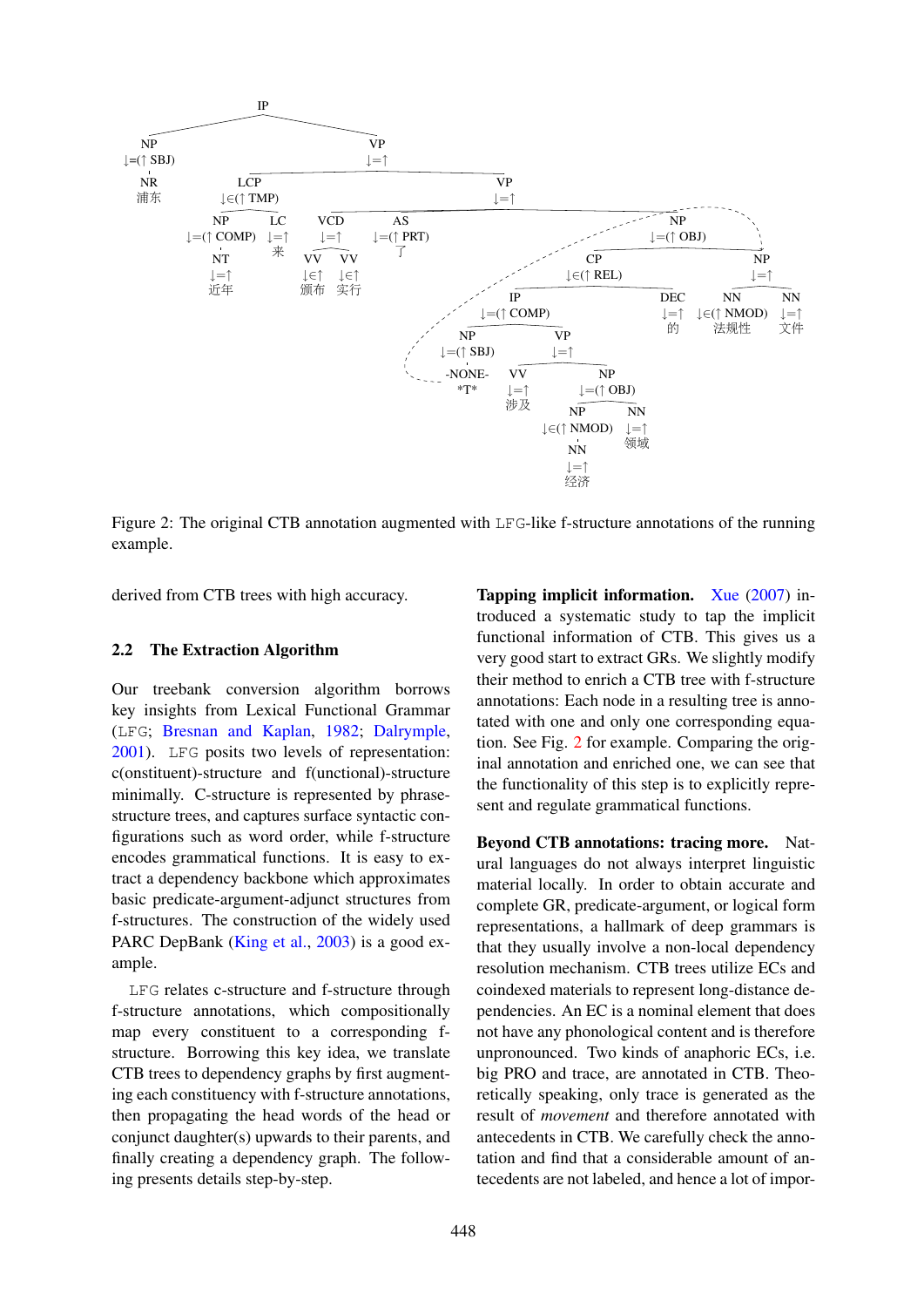

Figure 2: The original CTB annotation augmented with LFG-like f-structure annotations of the running example.

derived from CTB trees with high accuracy.

### 2.2 The Extraction Algorithm

Our treebank conversion algorithm borrows key insights from Lexical Functional Grammar (LFG; Bresnan and Kaplan, 1982; Dalrymple, 2001). LFG posits two levels of representation: c(onstituent)-structure and f(unctional)-structure minimally. C-structure is represented by phrasestructure trees, and captures surface syntactic configurations such as word order, while f-structure encodes grammatical functions. It is easy to extract a dependency backbone which approximates basic predicate-argument-adjunct structures from f-structures. The construction of the widely used PARC DepBank (King et al., 2003) is a good example.

LFG relates c-structure and f-structure through f-structure annotations, which compositionally map every constituent to a corresponding fstructure. Borrowing this key idea, we translate CTB trees to dependency graphs by first augmenting each constituency with f-structure annotations, then propagating the head words of the head or conjunct daughter(s) upwards to their parents, and finally creating a dependency graph. The following presents details step-by-step.

Tapping implicit information. Xue (2007) introduced a systematic study to tap the implicit functional information of CTB. This gives us a very good start to extract GRs. We slightly modify their method to enrich a CTB tree with f-structure annotations: Each node in a resulting tree is annotated with one and only one corresponding equation. See Fig. 2 for example. Comparing the original annotation and enriched one, we can see that the functionality of this step is to explicitly represent and regulate grammatical functions.

Beyond CTB annotations: tracing more. Natural languages do not always interpret linguistic material locally. In order to obtain accurate and complete GR, predicate-argument, or logical form representations, a hallmark of deep grammars is that they usually involve a non-local dependency resolution mechanism. CTB trees utilize ECs and coindexed materials to represent long-distance dependencies. An EC is a nominal element that does not have any phonological content and is therefore unpronounced. Two kinds of anaphoric ECs, i.e. big PRO and trace, are annotated in CTB. Theoretically speaking, only trace is generated as the result of *movement* and therefore annotated with antecedents in CTB. We carefully check the annotation and find that a considerable amount of antecedents are not labeled, and hence a lot of impor-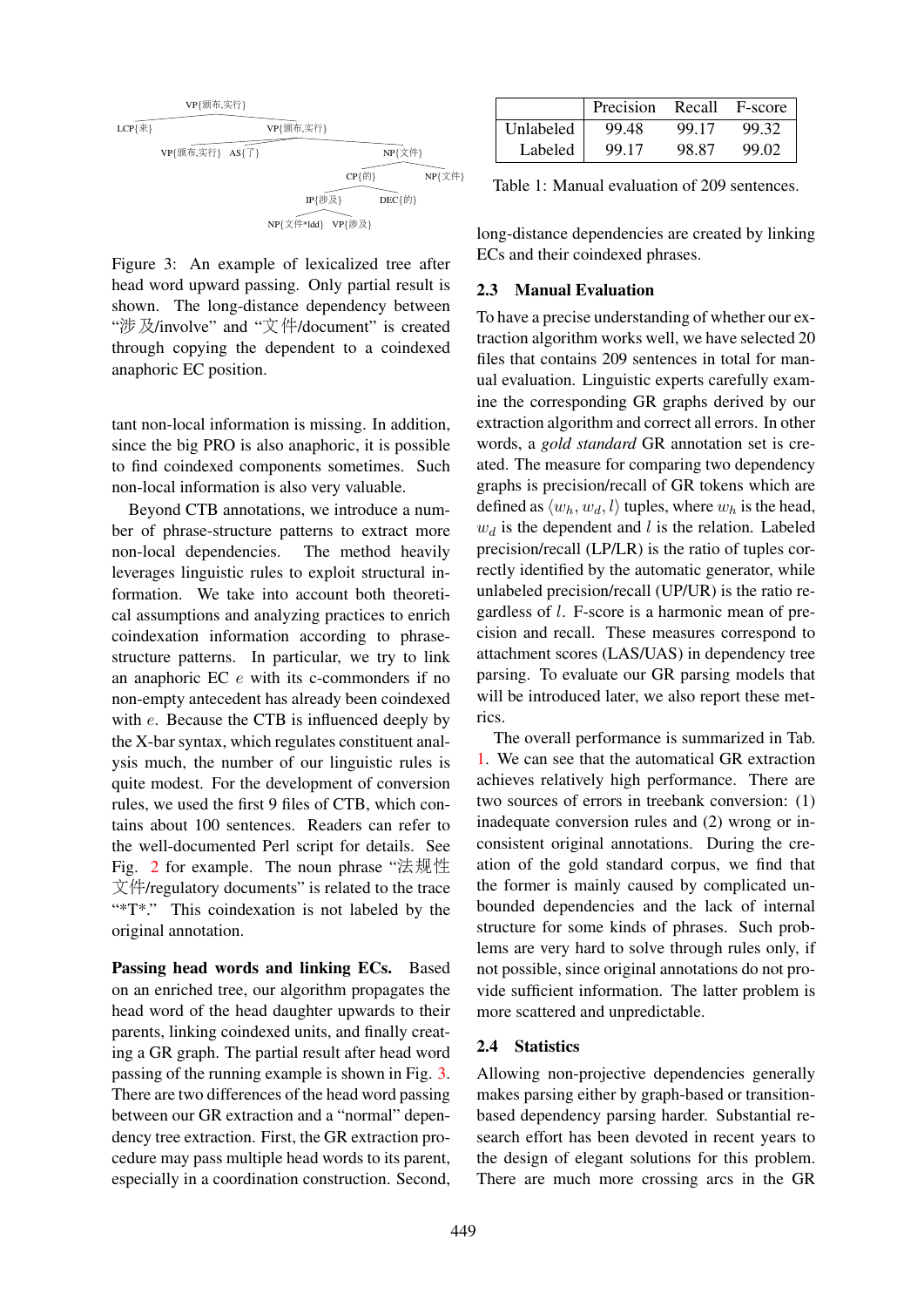

Figure 3: An example of lexicalized tree after head word upward passing. Only partial result is shown. The long-distance dependency between "涉及/involve" and "文件/document" is created through copying the dependent to a coindexed anaphoric EC position.

tant non-local information is missing. In addition, since the big PRO is also anaphoric, it is possible to find coindexed components sometimes. Such non-local information is also very valuable.

Beyond CTB annotations, we introduce a number of phrase-structure patterns to extract more non-local dependencies. The method heavily leverages linguistic rules to exploit structural information. We take into account both theoretical assumptions and analyzing practices to enrich coindexation information according to phrasestructure patterns. In particular, we try to link an anaphoric EC e with its c-commonders if no non-empty antecedent has already been coindexed with  $e$ . Because the CTB is influenced deeply by the X-bar syntax, which regulates constituent analysis much, the number of our linguistic rules is quite modest. For the development of conversion rules, we used the first 9 files of CTB, which contains about 100 sentences. Readers can refer to the well-documented Perl script for details. See Fig. 2 for example. The noun phrase "法规性 文件/regulatory documents" is related to the trace "\*T\*." This coindexation is not labeled by the original annotation.

Passing head words and linking ECs. Based on an enriched tree, our algorithm propagates the head word of the head daughter upwards to their parents, linking coindexed units, and finally creating a GR graph. The partial result after head word passing of the running example is shown in Fig. 3. There are two differences of the head word passing between our GR extraction and a "normal" dependency tree extraction. First, the GR extraction procedure may pass multiple head words to its parent, especially in a coordination construction. Second,

|           | Precision | Recall | F-score |
|-----------|-----------|--------|---------|
| Unlabeled | 99.48     | 99.17  | 99.32   |
| Labeled   | 99.17     | 98.87  | 99.02   |

Table 1: Manual evaluation of 209 sentences.

long-distance dependencies are created by linking ECs and their coindexed phrases.

### 2.3 Manual Evaluation

To have a precise understanding of whether our extraction algorithm works well, we have selected 20 files that contains 209 sentences in total for manual evaluation. Linguistic experts carefully examine the corresponding GR graphs derived by our extraction algorithm and correct all errors. In other words, a *gold standard* GR annotation set is created. The measure for comparing two dependency graphs is precision/recall of GR tokens which are defined as  $\langle w_h, w_d, l \rangle$  tuples, where  $w_h$  is the head,  $w_d$  is the dependent and l is the relation. Labeled precision/recall (LP/LR) is the ratio of tuples correctly identified by the automatic generator, while unlabeled precision/recall (UP/UR) is the ratio regardless of l. F-score is a harmonic mean of precision and recall. These measures correspond to attachment scores (LAS/UAS) in dependency tree parsing. To evaluate our GR parsing models that will be introduced later, we also report these metrics.

The overall performance is summarized in Tab. 1. We can see that the automatical GR extraction achieves relatively high performance. There are two sources of errors in treebank conversion: (1) inadequate conversion rules and (2) wrong or inconsistent original annotations. During the creation of the gold standard corpus, we find that the former is mainly caused by complicated unbounded dependencies and the lack of internal structure for some kinds of phrases. Such problems are very hard to solve through rules only, if not possible, since original annotations do not provide sufficient information. The latter problem is more scattered and unpredictable.

### 2.4 Statistics

Allowing non-projective dependencies generally makes parsing either by graph-based or transitionbased dependency parsing harder. Substantial research effort has been devoted in recent years to the design of elegant solutions for this problem. There are much more crossing arcs in the GR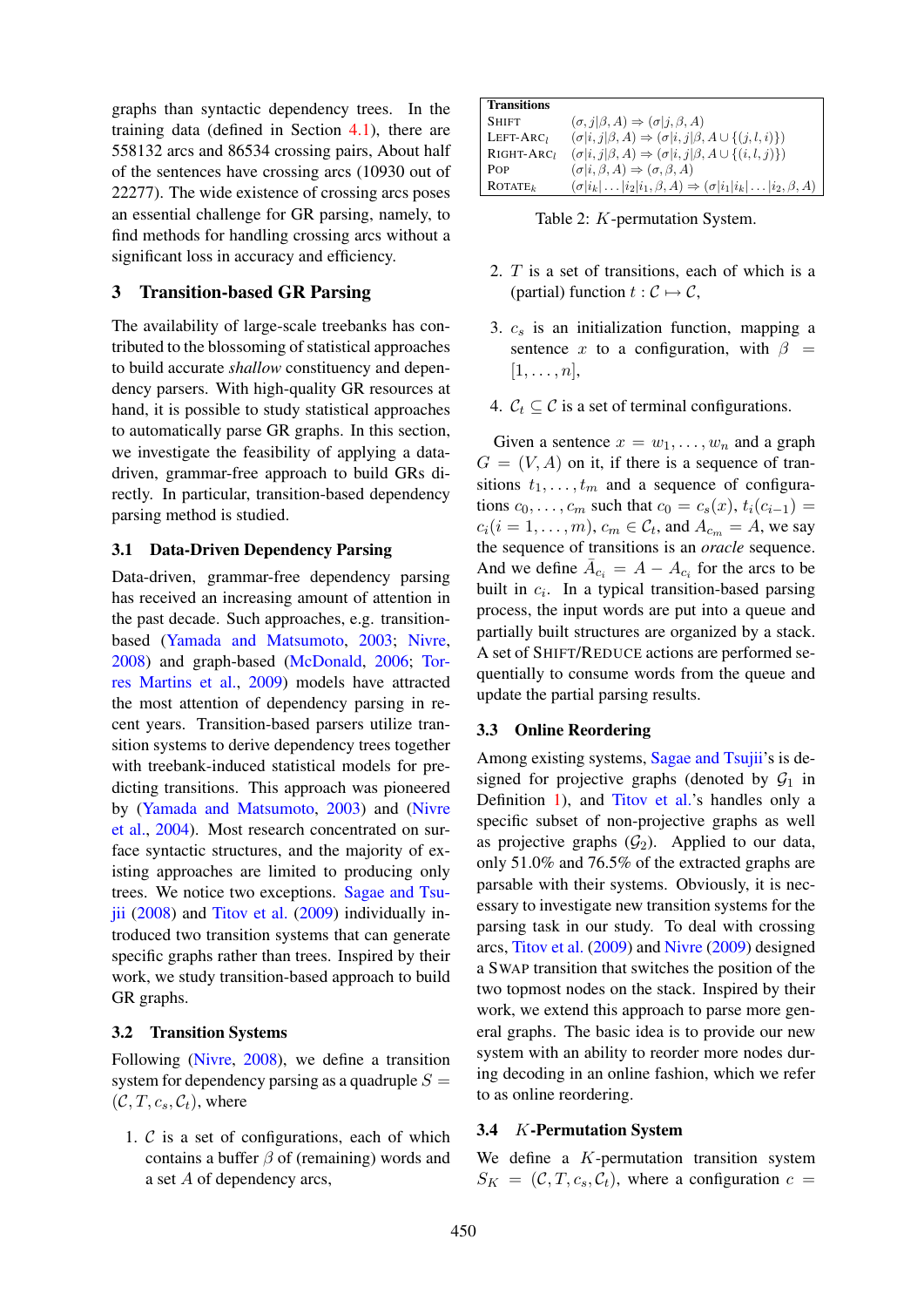graphs than syntactic dependency trees. In the training data (defined in Section 4.1), there are 558132 arcs and 86534 crossing pairs, About half of the sentences have crossing arcs (10930 out of 22277). The wide existence of crossing arcs poses an essential challenge for GR parsing, namely, to find methods for handling crossing arcs without a significant loss in accuracy and efficiency.

### 3 Transition-based GR Parsing

The availability of large-scale treebanks has contributed to the blossoming of statistical approaches to build accurate *shallow* constituency and dependency parsers. With high-quality GR resources at hand, it is possible to study statistical approaches to automatically parse GR graphs. In this section, we investigate the feasibility of applying a datadriven, grammar-free approach to build GRs directly. In particular, transition-based dependency parsing method is studied.

### 3.1 Data-Driven Dependency Parsing

Data-driven, grammar-free dependency parsing has received an increasing amount of attention in the past decade. Such approaches, e.g. transitionbased (Yamada and Matsumoto, 2003; Nivre, 2008) and graph-based (McDonald, 2006; Torres Martins et al., 2009) models have attracted the most attention of dependency parsing in recent years. Transition-based parsers utilize transition systems to derive dependency trees together with treebank-induced statistical models for predicting transitions. This approach was pioneered by (Yamada and Matsumoto, 2003) and (Nivre et al., 2004). Most research concentrated on surface syntactic structures, and the majority of existing approaches are limited to producing only trees. We notice two exceptions. Sagae and Tsujii (2008) and Titov et al. (2009) individually introduced two transition systems that can generate specific graphs rather than trees. Inspired by their work, we study transition-based approach to build GR graphs.

### 3.2 Transition Systems

Following (Nivre, 2008), we define a transition system for dependency parsing as a quadruple  $S =$  $(C, T, c_s, C_t)$ , where

1.  $C$  is a set of configurations, each of which contains a buffer  $\beta$  of (remaining) words and a set A of dependency arcs,

| <b>Transitions</b>     |                                                                                   |
|------------------------|-----------------------------------------------------------------------------------|
| <b>SHIFT</b>           | $(\sigma, j   \beta, A) \Rightarrow (\sigma   j, \beta, A)$                       |
| $LEFT-ARCl$            | $(\sigma i, j \beta, A) \Rightarrow (\sigma i, j \beta, A \cup \{(j, l, i)\})$    |
| RIGHT-ARC <sub>1</sub> | $(\sigma i, j \beta, A) \Rightarrow (\sigma i, j \beta, A \cup \{(i, l, j)\})$    |
| POP                    | $(\sigma i, \beta, A) \Rightarrow (\sigma, \beta, A)$                             |
| ROTATE <sub>k</sub>    | $(\sigma i_k \dots i_2 i_1,\beta,A)\Rightarrow(\sigma i_1 i_k \dots i_2,\beta,A)$ |

Table 2: K-permutation System.

- 2. T is a set of transitions, each of which is a (partial) function  $t : \mathcal{C} \mapsto \mathcal{C}$ ,
- 3.  $c_s$  is an initialization function, mapping a sentence x to a configuration, with  $\beta =$  $[1, \ldots, n],$
- 4.  $C_t \subseteq C$  is a set of terminal configurations.

Given a sentence  $x = w_1, \dots, w_n$  and a graph  $G = (V, A)$  on it, if there is a sequence of transitions  $t_1, \ldots, t_m$  and a sequence of configurations  $c_0, \ldots, c_m$  such that  $c_0 = c_s(x), t_i(c_{i-1}) =$  $c_i (i = 1, \ldots, m)$ ,  $c_m \in C_t$ , and  $A_{c_m} = A$ , we say the sequence of transitions is an *oracle* sequence. And we define  $\overline{A}_{c_i} = A - A_{c_i}$  for the arcs to be built in  $c_i$ . In a typical transition-based parsing process, the input words are put into a queue and partially built structures are organized by a stack. A set of SHIFT/REDUCE actions are performed sequentially to consume words from the queue and update the partial parsing results.

### 3.3 Online Reordering

Among existing systems, Sagae and Tsujii's is designed for projective graphs (denoted by  $G_1$  in Definition 1), and Titov et al.'s handles only a specific subset of non-projective graphs as well as projective graphs  $(\mathcal{G}_2)$ . Applied to our data, only 51.0% and 76.5% of the extracted graphs are parsable with their systems. Obviously, it is necessary to investigate new transition systems for the parsing task in our study. To deal with crossing arcs, Titov et al. (2009) and Nivre (2009) designed a SWAP transition that switches the position of the two topmost nodes on the stack. Inspired by their work, we extend this approach to parse more general graphs. The basic idea is to provide our new system with an ability to reorder more nodes during decoding in an online fashion, which we refer to as online reordering.

#### 3.4 K-Permutation System

We define a  $K$ -permutation transition system  $S_K = (\mathcal{C}, T, c_s, \mathcal{C}_t)$ , where a configuration  $c =$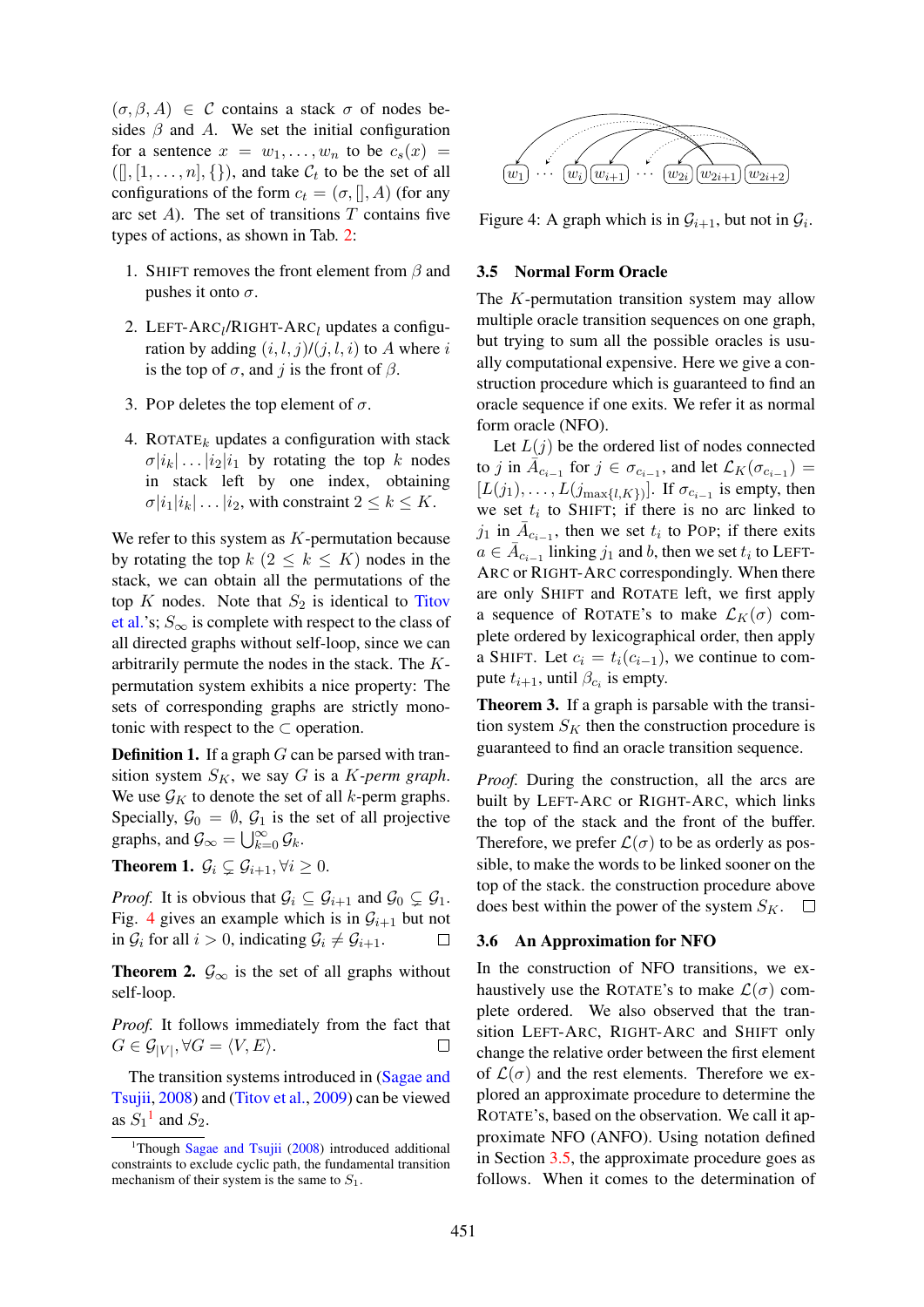$(\sigma, \beta, A) \in \mathcal{C}$  contains a stack  $\sigma$  of nodes besides  $\beta$  and A. We set the initial configuration for a sentence  $x = w_1, \ldots, w_n$  to be  $c_s(x) =$  $([], [1, \ldots, n], \{\})$ , and take  $\mathcal{C}_t$  to be the set of all configurations of the form  $c_t = (\sigma, []$ , A) (for any arc set  $A$ ). The set of transitions  $T$  contains five types of actions, as shown in Tab. 2:

- 1. SHIFT removes the front element from  $\beta$  and pushes it onto  $\sigma$ .
- 2. LEFT- $ARC_l/RIGHT-ARC_l$  updates a configuration by adding  $(i, l, j)/(j, l, i)$  to A where i is the top of  $\sigma$ , and j is the front of  $\beta$ .
- 3. POP deletes the top element of  $\sigma$ .
- 4. ROTATE<sub>k</sub> updates a configuration with stack  $\sigma[i_k] \dots |i_2|i_1$  by rotating the top k nodes in stack left by one index, obtaining  $\sigma|i_1|i_k|\dots|i_2$ , with constraint  $2 \leq k \leq K$ .

We refer to this system as  $K$ -permutation because by rotating the top  $k$   $(2 \leq k \leq K)$  nodes in the stack, we can obtain all the permutations of the top  $K$  nodes. Note that  $S_2$  is identical to Titov et al.'s;  $S_{\infty}$  is complete with respect to the class of all directed graphs without self-loop, since we can arbitrarily permute the nodes in the stack. The Kpermutation system exhibits a nice property: The sets of corresponding graphs are strictly monotonic with respect to the  $\subset$  operation.

**Definition 1.** If a graph  $G$  can be parsed with transition system  $S_K$ , we say G is a K-perm graph. We use  $\mathcal{G}_K$  to denote the set of all k-perm graphs. Specially,  $\mathcal{G}_0 = \emptyset$ ,  $\mathcal{G}_1$  is the set of all projective graphs, and  $\mathcal{G}_{\infty} = \bigcup_{k=0}^{\infty} \mathcal{G}_k$ .

**Theorem 1.**  $\mathcal{G}_i \subsetneq \mathcal{G}_{i+1}, \forall i \geq 0$ .

*Proof.* It is obvious that  $\mathcal{G}_i \subseteq \mathcal{G}_{i+1}$  and  $\mathcal{G}_0 \subseteq \mathcal{G}_1$ . Fig. 4 gives an example which is in  $\mathcal{G}_{i+1}$  but not in  $\mathcal{G}_i$  for all  $i > 0$ , indicating  $\mathcal{G}_i \neq \mathcal{G}_{i+1}$ . П

**Theorem 2.**  $\mathcal{G}_{\infty}$  is the set of all graphs without self-loop.

*Proof.* It follows immediately from the fact that  $G \in \mathcal{G}_{|V|}, \forall G = \langle V, E \rangle.$  $\Box$ 

The transition systems introduced in (Sagae and Tsujii, 2008) and (Titov et al., 2009) can be viewed as  $S_1$ <sup>1</sup> and  $S_2$ .



Figure 4: A graph which is in  $\mathcal{G}_{i+1}$ , but not in  $\mathcal{G}_i$ .

#### 3.5 Normal Form Oracle

The K-permutation transition system may allow multiple oracle transition sequences on one graph, but trying to sum all the possible oracles is usually computational expensive. Here we give a construction procedure which is guaranteed to find an oracle sequence if one exits. We refer it as normal form oracle (NFO).

Let  $L(j)$  be the ordered list of nodes connected to j in  $\overline{A}_{c_{i-1}}$  for  $j \in \sigma_{c_{i-1}}$ , and let  $\mathcal{L}_K(\sigma_{c_{i-1}})$  =  $[L(j_1),..., L(j_{\max\{l,K\}})]$ . If  $\sigma_{c_{i-1}}$  is empty, then we set  $t_i$  to SHIFT; if there is no arc linked to  $j_1$  in  $\bar{A}_{c_{i-1}}$ , then we set  $t_i$  to POP; if there exits  $a \in \overline{A}_{c_{i-1}}$  linking  $j_1$  and b, then we set  $t_i$  to LEFT-ARC or RIGHT-ARC correspondingly. When there are only SHIFT and ROTATE left, we first apply a sequence of ROTATE's to make  $\mathcal{L}_K(\sigma)$  complete ordered by lexicographical order, then apply a SHIFT. Let  $c_i = t_i(c_{i-1})$ , we continue to compute  $t_{i+1}$ , until  $\beta_{c_i}$  is empty.

Theorem 3. If a graph is parsable with the transition system  $S_K$  then the construction procedure is guaranteed to find an oracle transition sequence.

*Proof.* During the construction, all the arcs are built by LEFT-ARC or RIGHT-ARC, which links the top of the stack and the front of the buffer. Therefore, we prefer  $\mathcal{L}(\sigma)$  to be as orderly as possible, to make the words to be linked sooner on the top of the stack. the construction procedure above does best within the power of the system  $S_K$ .  $\Box$ 

### 3.6 An Approximation for NFO

In the construction of NFO transitions, we exhaustively use the ROTATE's to make  $\mathcal{L}(\sigma)$  complete ordered. We also observed that the transition LEFT-ARC, RIGHT-ARC and SHIFT only change the relative order between the first element of  $\mathcal{L}(\sigma)$  and the rest elements. Therefore we explored an approximate procedure to determine the ROTATE's, based on the observation. We call it approximate NFO (ANFO). Using notation defined in Section 3.5, the approximate procedure goes as follows. When it comes to the determination of

<sup>&</sup>lt;sup>1</sup>Though Sagae and Tsujii (2008) introduced additional constraints to exclude cyclic path, the fundamental transition mechanism of their system is the same to  $S_1$ .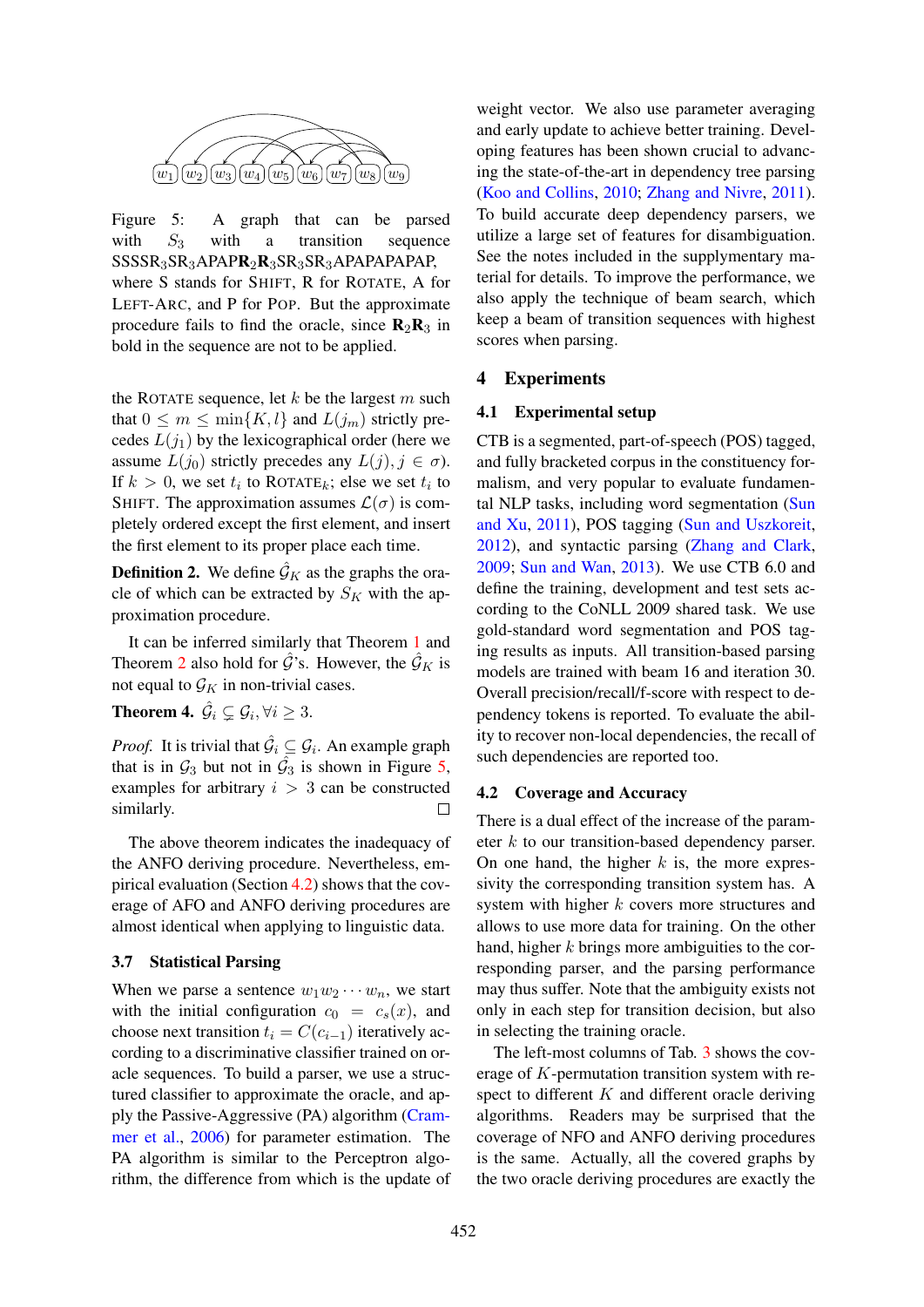

Figure 5: A graph that can be parsed with  $S_3$  with a transition sequence SSSSR3SR3APAPR2R3SR3SR3APAPAPAPAP, where S stands for SHIFT, R for ROTATE, A for LEFT-ARC, and P for POP. But the approximate procedure fails to find the oracle, since  $\mathbf{R}_2\mathbf{R}_3$  in bold in the sequence are not to be applied.

the ROTATE sequence, let  $k$  be the largest  $m$  such that  $0 \leq m \leq \min\{K, l\}$  and  $L(j_m)$  strictly precedes  $L(j_1)$  by the lexicographical order (here we assume  $L(j_0)$  strictly precedes any  $L(j), j \in \sigma$ ). If  $k > 0$ , we set  $t_i$  to ROTATE<sub>k</sub>; else we set  $t_i$  to SHIFT. The approximation assumes  $\mathcal{L}(\sigma)$  is completely ordered except the first element, and insert the first element to its proper place each time.

**Definition 2.** We define  $\hat{\mathcal{G}}_K$  as the graphs the oracle of which can be extracted by  $S_K$  with the approximation procedure.

It can be inferred similarly that Theorem 1 and Theorem 2 also hold for  $\mathcal{G}$ 's. However, the  $\mathcal{G}_K$  is not equal to  $\mathcal{G}_K$  in non-trivial cases.

**Theorem 4.**  $\hat{\mathcal{G}}_i \subsetneq \mathcal{G}_i, \forall i \geq 3$ .

*Proof.* It is trivial that  $\hat{G}_i \subseteq G_i$ . An example graph that is in  $\mathcal{G}_3$  but not in  $\hat{\mathcal{G}}_3$  is shown in Figure 5, examples for arbitrary  $i > 3$  can be constructed similarly.  $\Box$ 

The above theorem indicates the inadequacy of the ANFO deriving procedure. Nevertheless, empirical evaluation (Section  $4.2$ ) shows that the coverage of AFO and ANFO deriving procedures are almost identical when applying to linguistic data.

### 3.7 Statistical Parsing

When we parse a sentence  $w_1w_2\cdots w_n$ , we start with the initial configuration  $c_0 = c_s(x)$ , and choose next transition  $t_i = C(c_{i-1})$  iteratively according to a discriminative classifier trained on oracle sequences. To build a parser, we use a structured classifier to approximate the oracle, and apply the Passive-Aggressive (PA) algorithm (Crammer et al., 2006) for parameter estimation. The PA algorithm is similar to the Perceptron algorithm, the difference from which is the update of

weight vector. We also use parameter averaging and early update to achieve better training. Developing features has been shown crucial to advancing the state-of-the-art in dependency tree parsing (Koo and Collins, 2010; Zhang and Nivre, 2011). To build accurate deep dependency parsers, we utilize a large set of features for disambiguation. See the notes included in the supplymentary material for details. To improve the performance, we also apply the technique of beam search, which keep a beam of transition sequences with highest scores when parsing.

### 4 Experiments

### 4.1 Experimental setup

CTB is a segmented, part-of-speech (POS) tagged, and fully bracketed corpus in the constituency formalism, and very popular to evaluate fundamental NLP tasks, including word segmentation (Sun and Xu, 2011), POS tagging (Sun and Uszkoreit, 2012), and syntactic parsing (Zhang and Clark, 2009; Sun and Wan, 2013). We use CTB 6.0 and define the training, development and test sets according to the CoNLL 2009 shared task. We use gold-standard word segmentation and POS taging results as inputs. All transition-based parsing models are trained with beam 16 and iteration 30. Overall precision/recall/f-score with respect to dependency tokens is reported. To evaluate the ability to recover non-local dependencies, the recall of such dependencies are reported too.

### 4.2 Coverage and Accuracy

There is a dual effect of the increase of the parameter  $k$  to our transition-based dependency parser. On one hand, the higher  $k$  is, the more expressivity the corresponding transition system has. A system with higher  $k$  covers more structures and allows to use more data for training. On the other hand, higher k brings more ambiguities to the corresponding parser, and the parsing performance may thus suffer. Note that the ambiguity exists not only in each step for transition decision, but also in selecting the training oracle.

The left-most columns of Tab. 3 shows the coverage of K-permutation transition system with respect to different  $K$  and different oracle deriving algorithms. Readers may be surprised that the coverage of NFO and ANFO deriving procedures is the same. Actually, all the covered graphs by the two oracle deriving procedures are exactly the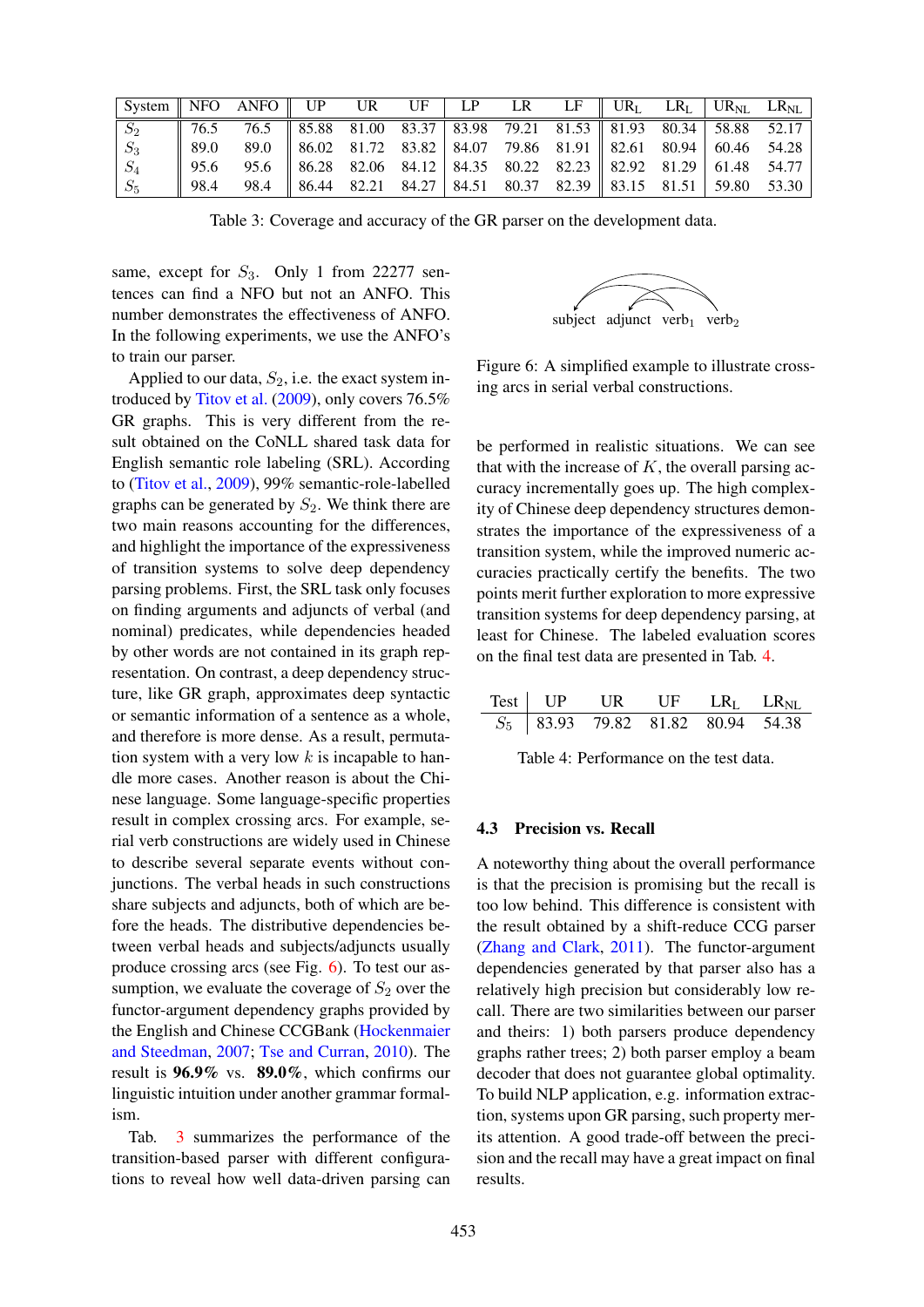| $\mid$ System $\parallel$ NFO ANFO $\parallel$ UP UR UF $\mid$ LP LR LF $\parallel$ UR <sub>L</sub> LR <sub>L</sub> $\mid$ UR <sub>NL</sub> LR <sub>NL</sub> $\mid$ |                                                                                                           |  |  |  |  |  |
|---------------------------------------------------------------------------------------------------------------------------------------------------------------------|-----------------------------------------------------------------------------------------------------------|--|--|--|--|--|
| $S_2$   76.5 76.5   85.88 81.00 83.37   83.98 79.21 81.53   81.93 80.34   58.88 52.17                                                                               |                                                                                                           |  |  |  |  |  |
| $ S_3 $                                                                                                                                                             |                                                                                                           |  |  |  |  |  |
| $ S_4 $                                                                                                                                                             |                                                                                                           |  |  |  |  |  |
| $\mid S_5 \mid$                                                                                                                                                     | $\parallel$ 98.4 98.4 $\parallel$ 86.44 82.21 84.27 84.51 80.37 82.39 $\parallel$ 83.15 81.51 59.80 53.30 |  |  |  |  |  |

Table 3: Coverage and accuracy of the GR parser on the development data.

same, except for  $S_3$ . Only 1 from 22277 sentences can find a NFO but not an ANFO. This number demonstrates the effectiveness of ANFO. In the following experiments, we use the ANFO's to train our parser.

Applied to our data,  $S_2$ , i.e. the exact system introduced by Titov et al. (2009), only covers 76.5% GR graphs. This is very different from the result obtained on the CoNLL shared task data for English semantic role labeling (SRL). According to (Titov et al., 2009), 99% semantic-role-labelled graphs can be generated by  $S_2$ . We think there are two main reasons accounting for the differences, and highlight the importance of the expressiveness of transition systems to solve deep dependency parsing problems. First, the SRL task only focuses on finding arguments and adjuncts of verbal (and nominal) predicates, while dependencies headed by other words are not contained in its graph representation. On contrast, a deep dependency structure, like GR graph, approximates deep syntactic or semantic information of a sentence as a whole, and therefore is more dense. As a result, permutation system with a very low  $k$  is incapable to handle more cases. Another reason is about the Chinese language. Some language-specific properties result in complex crossing arcs. For example, serial verb constructions are widely used in Chinese to describe several separate events without conjunctions. The verbal heads in such constructions share subjects and adjuncts, both of which are before the heads. The distributive dependencies between verbal heads and subjects/adjuncts usually produce crossing arcs (see Fig. 6). To test our assumption, we evaluate the coverage of  $S_2$  over the functor-argument dependency graphs provided by the English and Chinese CCGBank (Hockenmaier and Steedman, 2007; Tse and Curran, 2010). The result is 96.9% vs. 89.0%, which confirms our linguistic intuition under another grammar formalism.

Tab. 3 summarizes the performance of the transition-based parser with different configurations to reveal how well data-driven parsing can



Figure 6: A simplified example to illustrate crossing arcs in serial verbal constructions.

be performed in realistic situations. We can see that with the increase of  $K$ , the overall parsing accuracy incrementally goes up. The high complexity of Chinese deep dependency structures demonstrates the importance of the expressiveness of a transition system, while the improved numeric accuracies practically certify the benefits. The two points merit further exploration to more expressive transition systems for deep dependency parsing, at least for Chinese. The labeled evaluation scores on the final test data are presented in Tab. 4.

|  | Test   $UP$ UR UF $LR_I$ LR <sub>NL</sub> |  |  |
|--|-------------------------------------------|--|--|
|  | $S_5$   83.93 79.82 81.82 80.94 54.38     |  |  |

Table 4: Performance on the test data.

### 4.3 Precision vs. Recall

A noteworthy thing about the overall performance is that the precision is promising but the recall is too low behind. This difference is consistent with the result obtained by a shift-reduce CCG parser (Zhang and Clark, 2011). The functor-argument dependencies generated by that parser also has a relatively high precision but considerably low recall. There are two similarities between our parser and theirs: 1) both parsers produce dependency graphs rather trees; 2) both parser employ a beam decoder that does not guarantee global optimality. To build NLP application, e.g. information extraction, systems upon GR parsing, such property merits attention. A good trade-off between the precision and the recall may have a great impact on final results.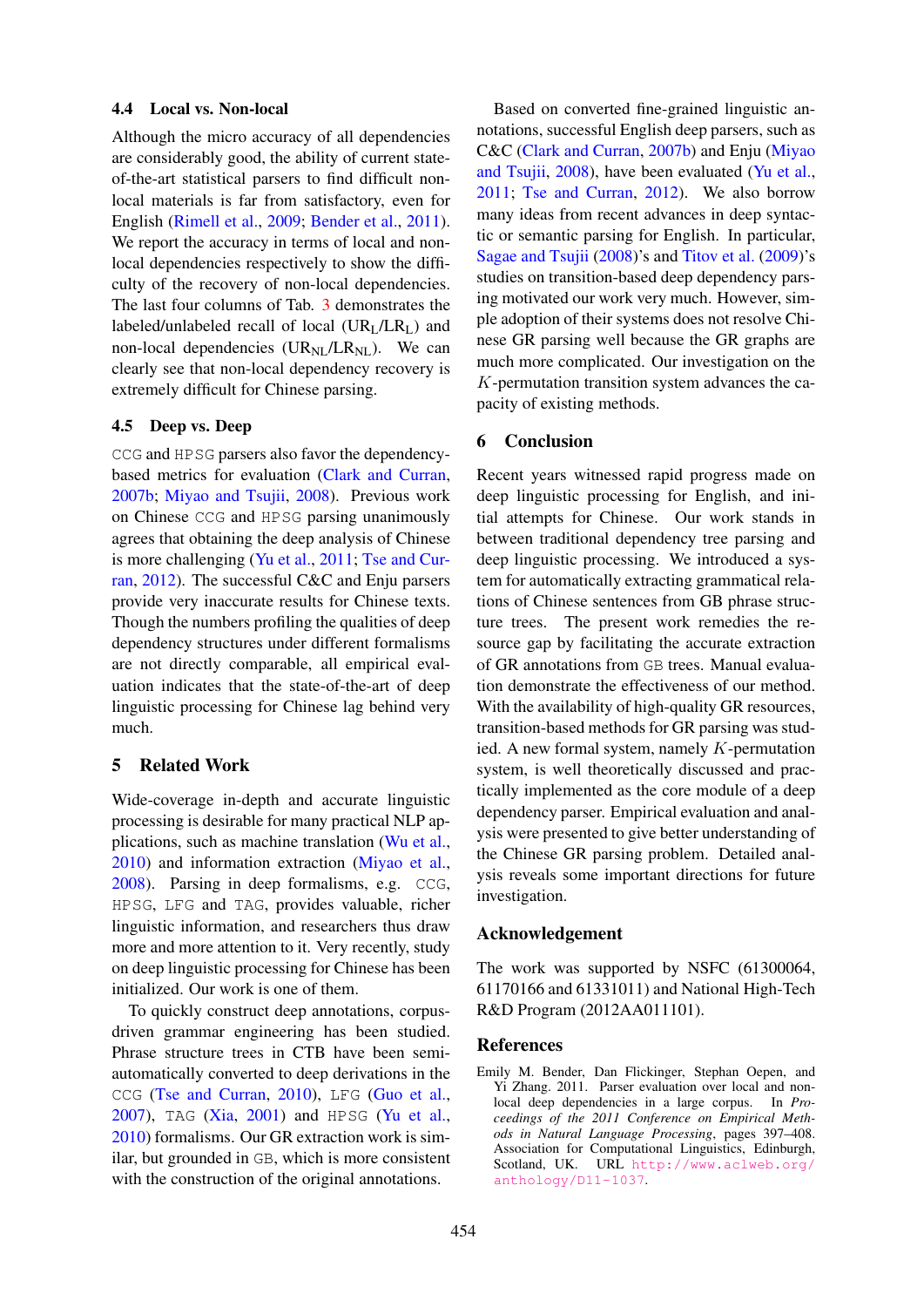### 4.4 Local vs. Non-local

Although the micro accuracy of all dependencies are considerably good, the ability of current stateof-the-art statistical parsers to find difficult nonlocal materials is far from satisfactory, even for English (Rimell et al., 2009; Bender et al., 2011). We report the accuracy in terms of local and nonlocal dependencies respectively to show the difficulty of the recovery of non-local dependencies. The last four columns of Tab. 3 demonstrates the labeled/unlabeled recall of local  $(UR<sub>I</sub>/LR<sub>I</sub>)$  and non-local dependencies  $(UR_{\text{NL}}/LR_{\text{NL}})$ . We can clearly see that non-local dependency recovery is extremely difficult for Chinese parsing.

### 4.5 Deep vs. Deep

CCG and HPSG parsers also favor the dependencybased metrics for evaluation (Clark and Curran, 2007b; Miyao and Tsujii, 2008). Previous work on Chinese CCG and HPSG parsing unanimously agrees that obtaining the deep analysis of Chinese is more challenging (Yu et al., 2011; Tse and Curran, 2012). The successful C&C and Enju parsers provide very inaccurate results for Chinese texts. Though the numbers profiling the qualities of deep dependency structures under different formalisms are not directly comparable, all empirical evaluation indicates that the state-of-the-art of deep linguistic processing for Chinese lag behind very much.

### 5 Related Work

Wide-coverage in-depth and accurate linguistic processing is desirable for many practical NLP applications, such as machine translation (Wu et al., 2010) and information extraction (Miyao et al., 2008). Parsing in deep formalisms, e.g. CCG, HPSG, LFG and TAG, provides valuable, richer linguistic information, and researchers thus draw more and more attention to it. Very recently, study on deep linguistic processing for Chinese has been initialized. Our work is one of them.

To quickly construct deep annotations, corpusdriven grammar engineering has been studied. Phrase structure trees in CTB have been semiautomatically converted to deep derivations in the CCG (Tse and Curran, 2010), LFG (Guo et al., 2007), TAG (Xia, 2001) and HPSG (Yu et al., 2010) formalisms. Our GR extraction work is similar, but grounded in GB, which is more consistent with the construction of the original annotations.

Based on converted fine-grained linguistic annotations, successful English deep parsers, such as C&C (Clark and Curran, 2007b) and Enju (Miyao and Tsujii, 2008), have been evaluated (Yu et al., 2011; Tse and Curran, 2012). We also borrow many ideas from recent advances in deep syntactic or semantic parsing for English. In particular, Sagae and Tsujii (2008)'s and Titov et al. (2009)'s studies on transition-based deep dependency parsing motivated our work very much. However, simple adoption of their systems does not resolve Chinese GR parsing well because the GR graphs are much more complicated. Our investigation on the K-permutation transition system advances the capacity of existing methods.

### 6 Conclusion

Recent years witnessed rapid progress made on deep linguistic processing for English, and initial attempts for Chinese. Our work stands in between traditional dependency tree parsing and deep linguistic processing. We introduced a system for automatically extracting grammatical relations of Chinese sentences from GB phrase structure trees. The present work remedies the resource gap by facilitating the accurate extraction of GR annotations from GB trees. Manual evaluation demonstrate the effectiveness of our method. With the availability of high-quality GR resources, transition-based methods for GR parsing was studied. A new formal system, namely K-permutation system, is well theoretically discussed and practically implemented as the core module of a deep dependency parser. Empirical evaluation and analysis were presented to give better understanding of the Chinese GR parsing problem. Detailed analysis reveals some important directions for future investigation.

### Acknowledgement

The work was supported by NSFC (61300064, 61170166 and 61331011) and National High-Tech R&D Program (2012AA011101).

### References

Emily M. Bender, Dan Flickinger, Stephan Oepen, and Yi Zhang. 2011. Parser evaluation over local and nonlocal deep dependencies in a large corpus. In *Proceedings of the 2011 Conference on Empirical Methods in Natural Language Processing*, pages 397–408. Association for Computational Linguistics, Edinburgh, Scotland, UK. URL http://www.aclweb.org/ anthology/D11-1037.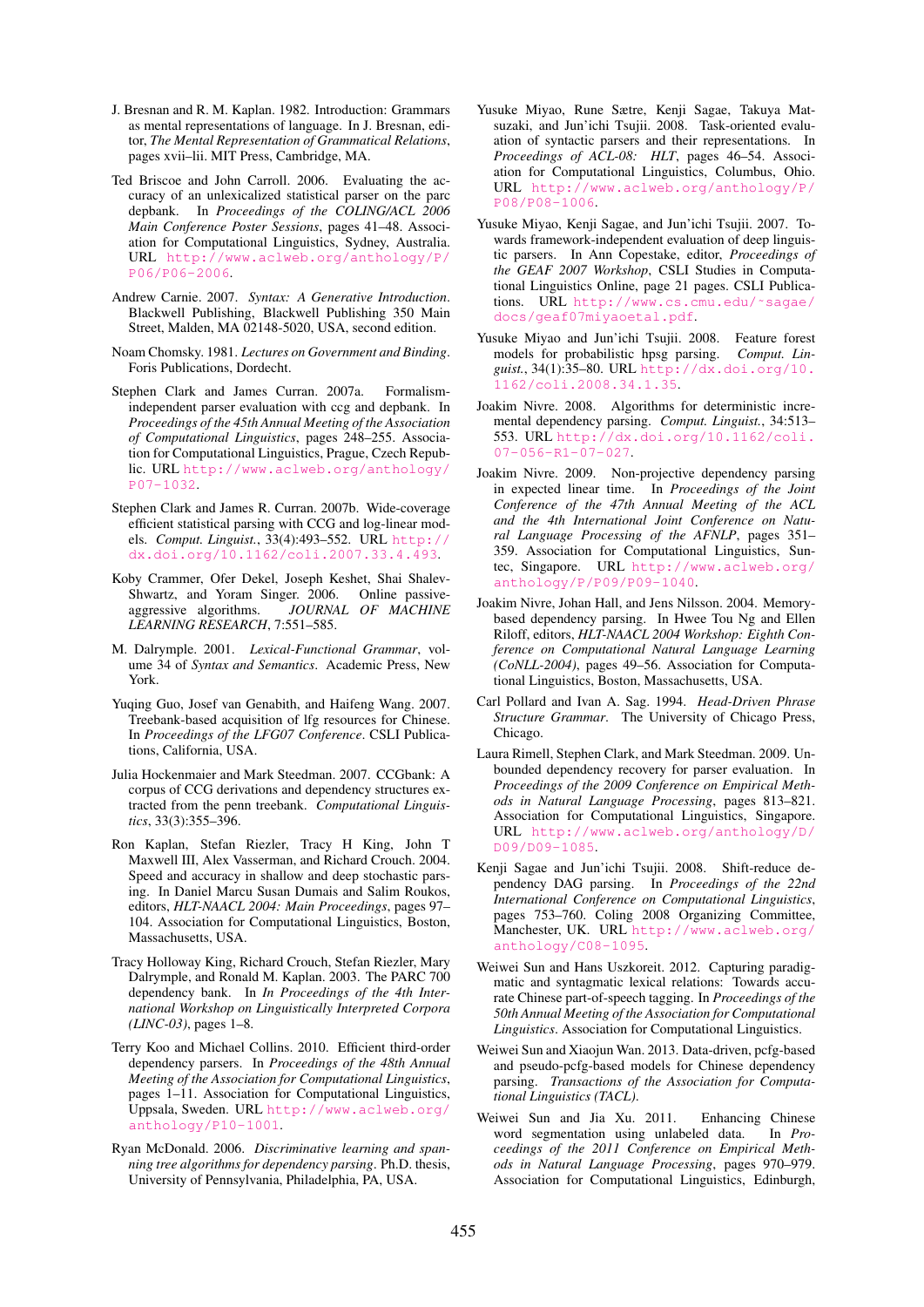- J. Bresnan and R. M. Kaplan. 1982. Introduction: Grammars as mental representations of language. In J. Bresnan, editor, *The Mental Representation of Grammatical Relations*, pages xvii–lii. MIT Press, Cambridge, MA.
- Ted Briscoe and John Carroll. 2006. Evaluating the accuracy of an unlexicalized statistical parser on the parc depbank. In *Proceedings of the COLING/ACL 2006 Main Conference Poster Sessions*, pages 41–48. Association for Computational Linguistics, Sydney, Australia. URL http://www.aclweb.org/anthology/P/ P06/P06-2006.
- Andrew Carnie. 2007. *Syntax: A Generative Introduction*. Blackwell Publishing, Blackwell Publishing 350 Main Street, Malden, MA 02148-5020, USA, second edition.
- Noam Chomsky. 1981. *Lectures on Government and Binding*. Foris Publications, Dordecht.
- Stephen Clark and James Curran. 2007a. Formalismindependent parser evaluation with ccg and depbank. In *Proceedings of the 45th Annual Meeting of the Association of Computational Linguistics*, pages 248–255. Association for Computational Linguistics, Prague, Czech Republic. URL http://www.aclweb.org/anthology/ P07-1032.
- Stephen Clark and James R. Curran. 2007b. Wide-coverage efficient statistical parsing with CCG and log-linear models. *Comput. Linguist.*, 33(4):493–552. URL http:// dx.doi.org/10.1162/coli.2007.33.4.493.
- Koby Crammer, Ofer Dekel, Joseph Keshet, Shai Shalev-Shwartz, and Yoram Singer. 2006. Online passiveaggressive algorithms. *JOURNAL OF MACHINE LEARNING RESEARCH*, 7:551–585.
- M. Dalrymple. 2001. *Lexical-Functional Grammar*, volume 34 of *Syntax and Semantics*. Academic Press, New York.
- Yuqing Guo, Josef van Genabith, and Haifeng Wang. 2007. Treebank-based acquisition of lfg resources for Chinese. In *Proceedings of the LFG07 Conference*. CSLI Publications, California, USA.
- Julia Hockenmaier and Mark Steedman. 2007. CCGbank: A corpus of CCG derivations and dependency structures extracted from the penn treebank. *Computational Linguistics*, 33(3):355–396.
- Ron Kaplan, Stefan Riezler, Tracy H King, John T Maxwell III, Alex Vasserman, and Richard Crouch. 2004. Speed and accuracy in shallow and deep stochastic parsing. In Daniel Marcu Susan Dumais and Salim Roukos, editors, *HLT-NAACL 2004: Main Proceedings*, pages 97– 104. Association for Computational Linguistics, Boston, Massachusetts, USA.
- Tracy Holloway King, Richard Crouch, Stefan Riezler, Mary Dalrymple, and Ronald M. Kaplan. 2003. The PARC 700 dependency bank. In *In Proceedings of the 4th International Workshop on Linguistically Interpreted Corpora (LINC-03)*, pages 1–8.
- Terry Koo and Michael Collins. 2010. Efficient third-order dependency parsers. In *Proceedings of the 48th Annual Meeting of the Association for Computational Linguistics*, pages 1–11. Association for Computational Linguistics, Uppsala, Sweden. URL http://www.aclweb.org/ anthology/P10-1001.
- Ryan McDonald. 2006. *Discriminative learning and spanning tree algorithms for dependency parsing*. Ph.D. thesis, University of Pennsylvania, Philadelphia, PA, USA.
- Yusuke Miyao, Rune Sætre, Kenji Sagae, Takuya Matsuzaki, and Jun'ichi Tsujii. 2008. Task-oriented evaluation of syntactic parsers and their representations. In *Proceedings of ACL-08: HLT*, pages 46–54. Association for Computational Linguistics, Columbus, Ohio. URL http://www.aclweb.org/anthology/P/ P08/P08-1006.
- Yusuke Miyao, Kenji Sagae, and Jun'ichi Tsujii. 2007. Towards framework-independent evaluation of deep linguistic parsers. In Ann Copestake, editor, *Proceedings of the GEAF 2007 Workshop*, CSLI Studies in Computational Linguistics Online, page 21 pages. CSLI Publications. URL http://www.cs.cmu.edu/˜sagae/ docs/geaf07miyaoetal.pdf.
- Yusuke Miyao and Jun'ichi Tsujii. 2008. Feature forest models for probabilistic hpsg parsing. *Comput. Linguist.*, 34(1):35–80. URL http://dx.doi.org/10. 1162/coli.2008.34.1.35.
- Joakim Nivre. 2008. Algorithms for deterministic incremental dependency parsing. *Comput. Linguist.*, 34:513– 553. URL http://dx.doi.org/10.1162/coli. 07-056-R1-07-027.
- Joakim Nivre. 2009. Non-projective dependency parsing in expected linear time. In *Proceedings of the Joint Conference of the 47th Annual Meeting of the ACL and the 4th International Joint Conference on Natural Language Processing of the AFNLP*, pages 351– 359. Association for Computational Linguistics, Suntec, Singapore. URL http://www.aclweb.org/ anthology/P/P09/P09-1040.
- Joakim Nivre, Johan Hall, and Jens Nilsson. 2004. Memorybased dependency parsing. In Hwee Tou Ng and Ellen Riloff, editors, *HLT-NAACL 2004 Workshop: Eighth Conference on Computational Natural Language Learning (CoNLL-2004)*, pages 49–56. Association for Computational Linguistics, Boston, Massachusetts, USA.
- Carl Pollard and Ivan A. Sag. 1994. *Head-Driven Phrase Structure Grammar*. The University of Chicago Press, Chicago.
- Laura Rimell, Stephen Clark, and Mark Steedman. 2009. Unbounded dependency recovery for parser evaluation. In *Proceedings of the 2009 Conference on Empirical Methods in Natural Language Processing*, pages 813–821. Association for Computational Linguistics, Singapore. URL http://www.aclweb.org/anthology/D/ D09/D09-1085.
- Kenji Sagae and Jun'ichi Tsujii. 2008. Shift-reduce dependency DAG parsing. In *Proceedings of the 22nd International Conference on Computational Linguistics*, pages 753–760. Coling 2008 Organizing Committee, Manchester, UK. URL http://www.aclweb.org/ anthology/C08-1095.
- Weiwei Sun and Hans Uszkoreit. 2012. Capturing paradigmatic and syntagmatic lexical relations: Towards accurate Chinese part-of-speech tagging. In *Proceedings of the 50th Annual Meeting of the Association for Computational Linguistics*. Association for Computational Linguistics.
- Weiwei Sun and Xiaojun Wan. 2013. Data-driven, pcfg-based and pseudo-pcfg-based models for Chinese dependency parsing. *Transactions of the Association for Computational Linguistics (TACL)*.
- Weiwei Sun and Jia Xu. 2011. Enhancing Chinese word segmentation using unlabeled data. In *Proceedings of the 2011 Conference on Empirical Methods in Natural Language Processing*, pages 970–979. Association for Computational Linguistics, Edinburgh,